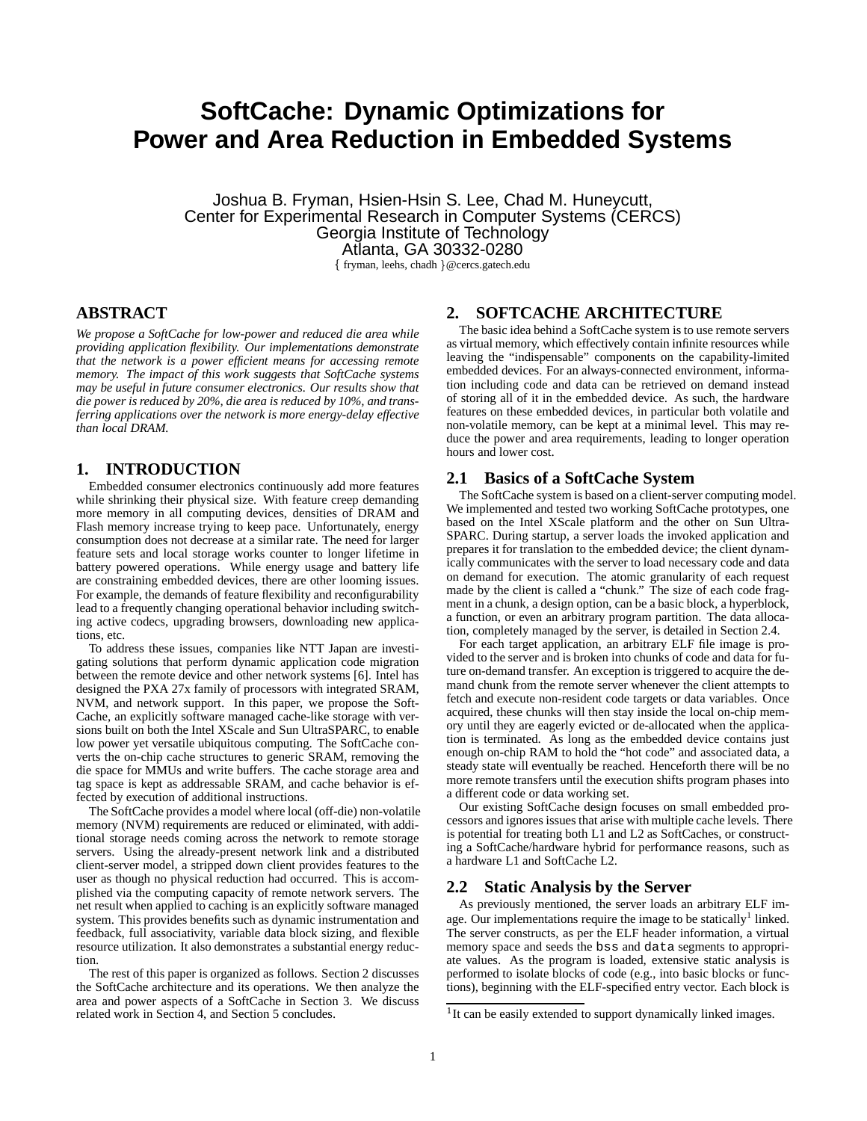# **SoftCache: Dynamic Optimizations for Power and Area Reduction in Embedded Systems**

Joshua B. Fryman, Hsien-Hsin S. Lee, Chad M. Huneycutt, Center for Experimental Research in Computer Systems (CERCS) Georgia Institute of Technology Atlanta, GA 30332-0280

fryman, leehs, chadh @cercs.gatech.edu

## **ABSTRACT**

*We propose a SoftCache for low-power and reduced die area while providing application flexibility. Our implementations demonstrate that the network is a power efficient means for accessing remote memory. The impact of this work suggests that SoftCache systems may be useful in future consumer electronics. Our results show that die power is reduced by 20%, die area is reduced by 10%, and transferring applications over the network is more energy-delay effective than local DRAM.*

## **1. INTRODUCTION**

Embedded consumer electronics continuously add more features while shrinking their physical size. With feature creep demanding more memory in all computing devices, densities of DRAM and Flash memory increase trying to keep pace. Unfortunately, energy consumption does not decrease at a similar rate. The need for larger feature sets and local storage works counter to longer lifetime in battery powered operations. While energy usage and battery life are constraining embedded devices, there are other looming issues. For example, the demands of feature flexibility and reconfigurability lead to a frequently changing operational behavior including switching active codecs, upgrading browsers, downloading new applications, etc.

To address these issues, companies like NTT Japan are investigating solutions that perform dynamic application code migration between the remote device and other network systems [6]. Intel has designed the PXA 27x family of processors with integrated SRAM, NVM, and network support. In this paper, we propose the Soft-Cache, an explicitly software managed cache-like storage with versions built on both the Intel XScale and Sun UltraSPARC, to enable low power yet versatile ubiquitous computing. The SoftCache converts the on-chip cache structures to generic SRAM, removing the die space for MMUs and write buffers. The cache storage area and tag space is kept as addressable SRAM, and cache behavior is effected by execution of additional instructions.

The SoftCache provides a model where local (off-die) non-volatile memory (NVM) requirements are reduced or eliminated, with additional storage needs coming across the network to remote storage servers. Using the already-present network link and a distributed client-server model, a stripped down client provides features to the user as though no physical reduction had occurred. This is accomplished via the computing capacity of remote network servers. The net result when applied to caching is an explicitly software managed system. This provides benefits such as dynamic instrumentation and feedback, full associativity, variable data block sizing, and flexible resource utilization. It also demonstrates a substantial energy reduction.

The rest of this paper is organized as follows. Section 2 discusses the SoftCache architecture and its operations. We then analyze the area and power aspects of a SoftCache in Section 3. We discuss related work in Section 4, and Section 5 concludes.

# **2. SOFTCACHE ARCHITECTURE**

The basic idea behind a SoftCache system is to use remote servers as virtual memory, which effectively contain infinite resources while leaving the "indispensable" components on the capability-limited embedded devices. For an always-connected environment, information including code and data can be retrieved on demand instead of storing all of it in the embedded device. As such, the hardware features on these embedded devices, in particular both volatile and non-volatile memory, can be kept at a minimal level. This may reduce the power and area requirements, leading to longer operation hours and lower cost.

## **2.1 Basics of a SoftCache System**

The SoftCache system is based on a client-server computing model. We implemented and tested two working SoftCache prototypes, one based on the Intel XScale platform and the other on Sun Ultra-SPARC. During startup, a server loads the invoked application and prepares it for translation to the embedded device; the client dynamically communicates with the server to load necessary code and data on demand for execution. The atomic granularity of each request made by the client is called a "chunk." The size of each code fragment in a chunk, a design option, can be a basic block, a hyperblock, a function, or even an arbitrary program partition. The data allocation, completely managed by the server, is detailed in Section 2.4.

For each target application, an arbitrary ELF file image is provided to the server and is broken into chunks of code and data for future on-demand transfer. An exception is triggered to acquire the demand chunk from the remote server whenever the client attempts to fetch and execute non-resident code targets or data variables. Once acquired, these chunks will then stay inside the local on-chip memory until they are eagerly evicted or de-allocated when the application is terminated. As long as the embedded device contains just enough on-chip RAM to hold the "hot code" and associated data, a steady state will eventually be reached. Henceforth there will be no more remote transfers until the execution shifts program phases into a different code or data working set.

Our existing SoftCache design focuses on small embedded processors and ignores issues that arise with multiple cache levels. There is potential for treating both L1 and L2 as SoftCaches, or constructing a SoftCache/hardware hybrid for performance reasons, such as a hardware L1 and SoftCache L2.

## **2.2 Static Analysis by the Server**

As previously mentioned, the server loads an arbitrary ELF image. Our implementations require the image to be statically<sup>1</sup> linked. The server constructs, as per the ELF header information, a virtual memory space and seeds the bss and data segments to appropriate values. As the program is loaded, extensive static analysis is performed to isolate blocks of code (e.g., into basic blocks or functions), beginning with the ELF-specified entry vector. Each block is

<sup>&</sup>lt;sup>1</sup> It can be easily extended to support dynamically linked images.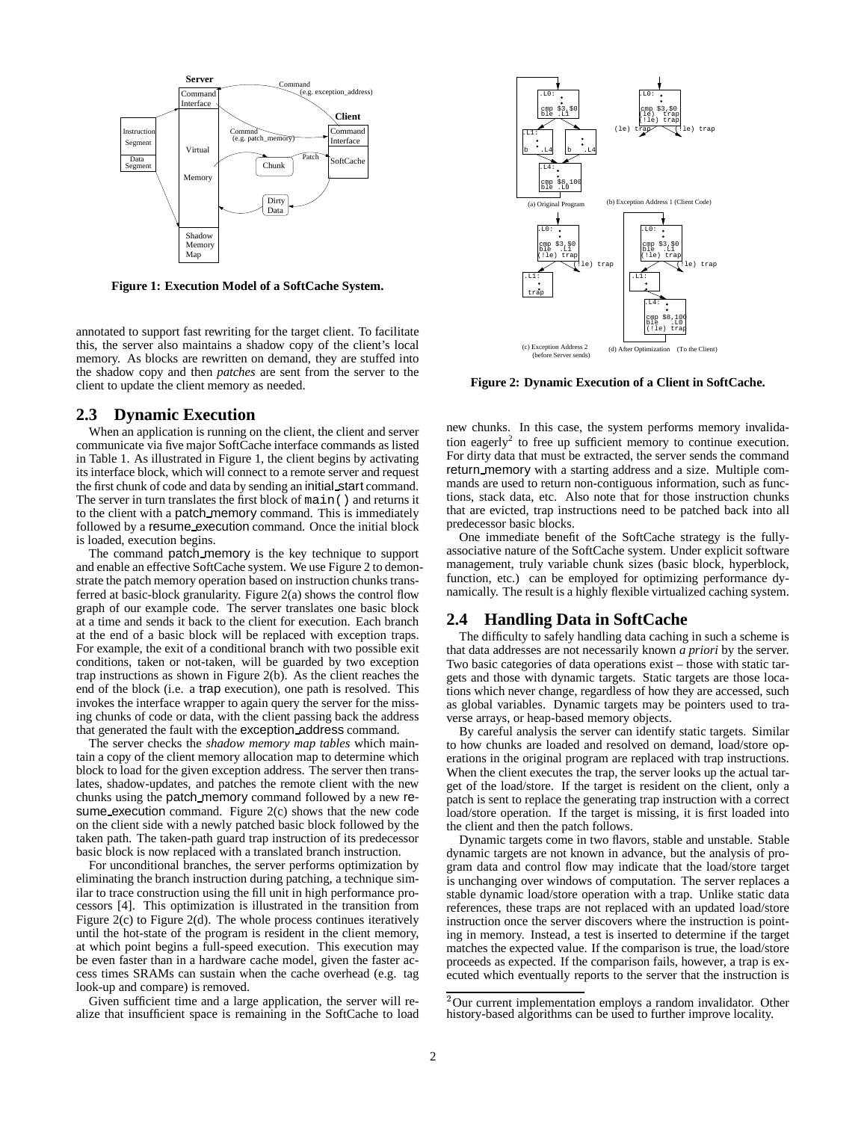

**Figure 1: Execution Model of a SoftCache System.**

annotated to support fast rewriting for the target client. To facilitate this, the server also maintains a shadow copy of the client's local memory. As blocks are rewritten on demand, they are stuffed into the shadow copy and then *patches* are sent from the server to the client to update the client memory as needed.

# **2.3 Dynamic Execution**

When an application is running on the client, the client and server communicate via five major SoftCache interface commands as listed in Table 1. As illustrated in Figure 1, the client begins by activating its interface block, which will connect to a remote server and request the first chunk of code and data by sending an initial start command. The server in turn translates the first block of main() and returns it to the client with a patch memory command. This is immediately followed by a resume execution command. Once the initial block is loaded, execution begins.

The command patch memory is the key technique to support and enable an effective SoftCache system. We use Figure 2 to demonstrate the patch memory operation based on instruction chunks transferred at basic-block granularity. Figure 2(a) shows the control flow graph of our example code. The server translates one basic block at a time and sends it back to the client for execution. Each branch at the end of a basic block will be replaced with exception traps. For example, the exit of a conditional branch with two possible exit conditions, taken or not-taken, will be guarded by two exception trap instructions as shown in Figure 2(b). As the client reaches the end of the block (i.e. a trap execution), one path is resolved. This invokes the interface wrapper to again query the server for the missing chunks of code or data, with the client passing back the address that generated the fault with the exception address command.

The server checks the *shadow memory map tables* which maintain a copy of the client memory allocation map to determine which block to load for the given exception address. The server then translates, shadow-updates, and patches the remote client with the new chunks using the patch memory command followed by a new resume execution command. Figure 2(c) shows that the new code on the client side with a newly patched basic block followed by the taken path. The taken-path guard trap instruction of its predecessor basic block is now replaced with a translated branch instruction.

For unconditional branches, the server performs optimization by eliminating the branch instruction during patching, a technique similar to trace construction using the fill unit in high performance processors [4]. This optimization is illustrated in the transition from Figure 2(c) to Figure 2(d). The whole process continues iteratively until the hot-state of the program is resident in the client memory, at which point begins a full-speed execution. This execution may be even faster than in a hardware cache model, given the faster access times SRAMs can sustain when the cache overhead (e.g. tag look-up and compare) is removed.

Given sufficient time and a large application, the server will realize that insufficient space is remaining in the SoftCache to load



**Figure 2: Dynamic Execution of a Client in SoftCache.**

new chunks. In this case, the system performs memory invalidation eagerly<sup>2</sup> to free up sufficient memory to continue execution. For dirty data that must be extracted, the server sends the command return memory with a starting address and a size. Multiple commands are used to return non-contiguous information, such as functions, stack data, etc. Also note that for those instruction chunks that are evicted, trap instructions need to be patched back into all predecessor basic blocks.

One immediate benefit of the SoftCache strategy is the fullyassociative nature of the SoftCache system. Under explicit software management, truly variable chunk sizes (basic block, hyperblock, function, etc.) can be employed for optimizing performance dynamically. The result is a highly flexible virtualized caching system.

## **2.4 Handling Data in SoftCache**

The difficulty to safely handling data caching in such a scheme is that data addresses are not necessarily known *a priori* by the server. Two basic categories of data operations exist – those with static targets and those with dynamic targets. Static targets are those locations which never change, regardless of how they are accessed, such as global variables. Dynamic targets may be pointers used to traverse arrays, or heap-based memory objects.

By careful analysis the server can identify static targets. Similar to how chunks are loaded and resolved on demand, load/store operations in the original program are replaced with trap instructions. When the client executes the trap, the server looks up the actual target of the load/store. If the target is resident on the client, only a patch is sent to replace the generating trap instruction with a correct load/store operation. If the target is missing, it is first loaded into the client and then the patch follows.

Dynamic targets come in two flavors, stable and unstable. Stable dynamic targets are not known in advance, but the analysis of program data and control flow may indicate that the load/store target is unchanging over windows of computation. The server replaces a stable dynamic load/store operation with a trap. Unlike static data references, these traps are not replaced with an updated load/store instruction once the server discovers where the instruction is pointing in memory. Instead, a test is inserted to determine if the target matches the expected value. If the comparison is true, the load/store proceeds as expected. If the comparison fails, however, a trap is executed which eventually reports to the server that the instruction is

 $2$ Our current implementation employs a random invalidator. Other history-based algorithms can be used to further improve locality.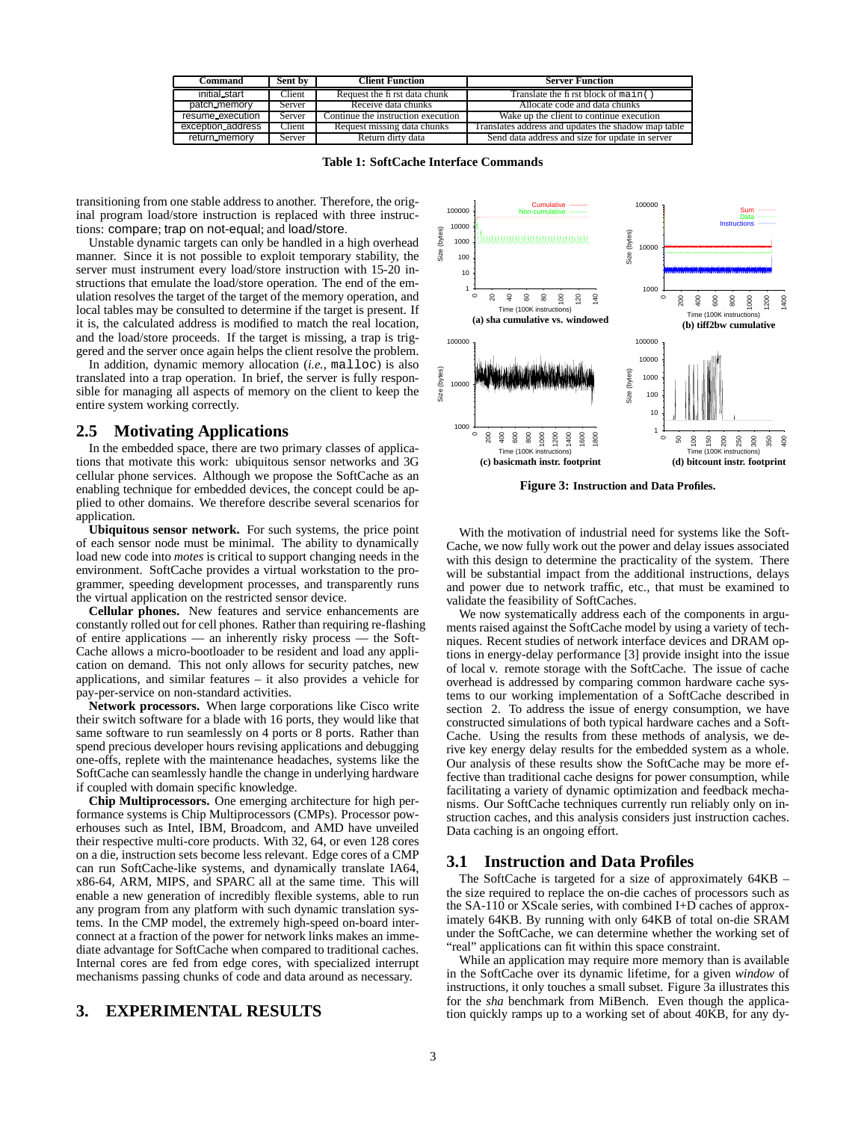| Command           | Sent by | <b>Client Function</b>             | <b>Server Function</b>                              |
|-------------------|---------|------------------------------------|-----------------------------------------------------|
| initial_start     | Client  | Request the fi rst data chunk      | Translate the first block of main $( )$             |
| patch_memory      | Server  | Receive data chunks                | Allocate code and data chunks                       |
| resume_execution  | Server  | Continue the instruction execution | Wake up the client to continue execution            |
| exception address | Client  | Request missing data chunks        | Translates address and updates the shadow map table |
| return_memory     | Server  | Return dirty data                  | Send data address and size for update in server     |

**Table 1: SoftCache Interface Commands**

transitioning from one stable address to another. Therefore, the original program load/store instruction is replaced with three instructions: compare; trap on not-equal; and load/store.

Unstable dynamic targets can only be handled in a high overhead manner. Since it is not possible to exploit temporary stability, the server must instrument every load/store instruction with 15-20 instructions that emulate the load/store operation. The end of the emulation resolves the target of the target of the memory operation, and local tables may be consulted to determine if the target is present. If it is, the calculated address is modified to match the real location, and the load/store proceeds. If the target is missing, a trap is triggered and the server once again helps the client resolve the problem.

In addition, dynamic memory allocation (*i.e.,* malloc) is also translated into a trap operation. In brief, the server is fully responsible for managing all aspects of memory on the client to keep the entire system working correctly.

## **2.5 Motivating Applications**

In the embedded space, there are two primary classes of applications that motivate this work: ubiquitous sensor networks and 3G cellular phone services. Although we propose the SoftCache as an enabling technique for embedded devices, the concept could be applied to other domains. We therefore describe several scenarios for application.

**Ubiquitous sensor network.** For such systems, the price point of each sensor node must be minimal. The ability to dynamically load new code into *motes* is critical to support changing needs in the environment. SoftCache provides a virtual workstation to the programmer, speeding development processes, and transparently runs the virtual application on the restricted sensor device.

**Cellular phones.** New features and service enhancements are constantly rolled out for cell phones. Rather than requiring re-flashing of entire applications — an inherently risky process — the Soft-Cache allows a micro-bootloader to be resident and load any application on demand. This not only allows for security patches, new applications, and similar features – it also provides a vehicle for pay-per-service on non-standard activities.

**Network processors.** When large corporations like Cisco write their switch software for a blade with 16 ports, they would like that same software to run seamlessly on 4 ports or 8 ports. Rather than spend precious developer hours revising applications and debugging one-offs, replete with the maintenance headaches, systems like the SoftCache can seamlessly handle the change in underlying hardware if coupled with domain specific knowledge.

**Chip Multiprocessors.** One emerging architecture for high performance systems is Chip Multiprocessors (CMPs). Processor powerhouses such as Intel, IBM, Broadcom, and AMD have unveiled their respective multi-core products. With 32, 64, or even 128 cores on a die, instruction sets become less relevant. Edge cores of a CMP can run SoftCache-like systems, and dynamically translate IA64, x86-64, ARM, MIPS, and SPARC all at the same time. This will enable a new generation of incredibly flexible systems, able to run any program from any platform with such dynamic translation systems. In the CMP model, the extremely high-speed on-board interconnect at a fraction of the power for network links makes an immediate advantage for SoftCache when compared to traditional caches. Internal cores are fed from edge cores, with specialized interrupt mechanisms passing chunks of code and data around as necessary.

#### **3. EXPERIMENTAL RESULTS**



**Figure 3: Instruction and Data Profiles.**

With the motivation of industrial need for systems like the Soft-Cache, we now fully work out the power and delay issues associated with this design to determine the practicality of the system. There will be substantial impact from the additional instructions, delays and power due to network traffic, etc., that must be examined to validate the feasibility of SoftCaches.

We now systematically address each of the components in arguments raised against the SoftCache model by using a variety of techniques. Recent studies of network interface devices and DRAM options in energy-delay performance [3] provide insight into the issue of local v. remote storage with the SoftCache. The issue of cache overhead is addressed by comparing common hardware cache systems to our working implementation of a SoftCache described in section 2. To address the issue of energy consumption, we have constructed simulations of both typical hardware caches and a Soft-Cache. Using the results from these methods of analysis, we derive key energy delay results for the embedded system as a whole. Our analysis of these results show the SoftCache may be more effective than traditional cache designs for power consumption, while facilitating a variety of dynamic optimization and feedback mechanisms. Our SoftCache techniques currently run reliably only on instruction caches, and this analysis considers just instruction caches. Data caching is an ongoing effort.

#### **3.1 Instruction and Data Profiles**

The SoftCache is targeted for a size of approximately 64KB – the size required to replace the on-die caches of processors such as the SA-110 or XScale series, with combined I+D caches of approximately 64KB. By running with only 64KB of total on-die SRAM under the SoftCache, we can determine whether the working set of "real" applications can fit within this space constraint.

While an application may require more memory than is available in the SoftCache over its dynamic lifetime, for a given *window* of instructions, it only touches a small subset. Figure 3a illustrates this for the *sha* benchmark from MiBench. Even though the application quickly ramps up to a working set of about 40KB, for any dy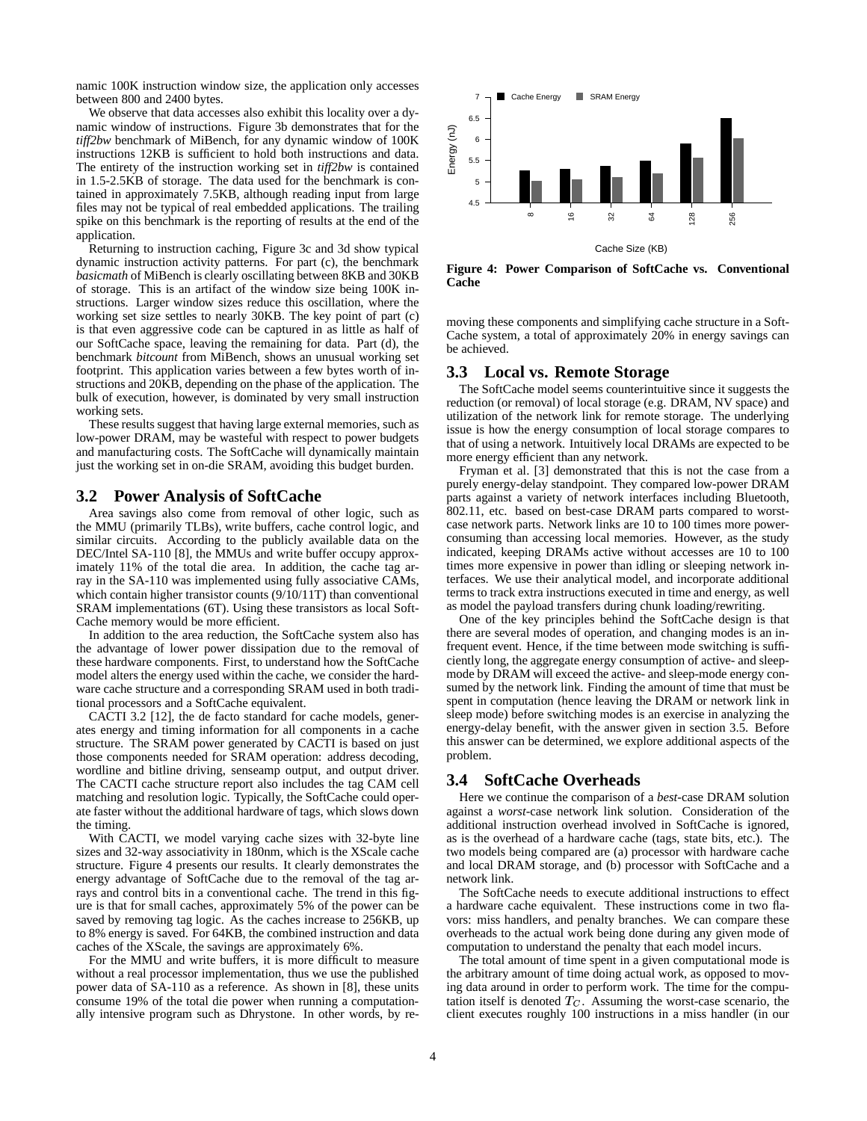namic 100K instruction window size, the application only accesses between 800 and 2400 bytes.

We observe that data accesses also exhibit this locality over a dynamic window of instructions. Figure 3b demonstrates that for the *tiff2bw* benchmark of MiBench, for any dynamic window of 100K instructions 12KB is sufficient to hold both instructions and data. The entirety of the instruction working set in *tiff2bw* is contained in 1.5-2.5KB of storage. The data used for the benchmark is contained in approximately 7.5KB, although reading input from large files may not be typical of real embedded applications. The trailing spike on this benchmark is the reporting of results at the end of the application.

Returning to instruction caching, Figure 3c and 3d show typical dynamic instruction activity patterns. For part (c), the benchmark *basicmath* of MiBench is clearly oscillating between 8KB and 30KB of storage. This is an artifact of the window size being 100K instructions. Larger window sizes reduce this oscillation, where the working set size settles to nearly 30KB. The key point of part (c) is that even aggressive code can be captured in as little as half of our SoftCache space, leaving the remaining for data. Part (d), the benchmark *bitcount* from MiBench, shows an unusual working set footprint. This application varies between a few bytes worth of instructions and 20KB, depending on the phase of the application. The bulk of execution, however, is dominated by very small instruction working sets.

These results suggest that having large external memories, such as low-power DRAM, may be wasteful with respect to power budgets and manufacturing costs. The SoftCache will dynamically maintain just the working set in on-die SRAM, avoiding this budget burden.

#### **3.2 Power Analysis of SoftCache**

Area savings also come from removal of other logic, such as the MMU (primarily TLBs), write buffers, cache control logic, and similar circuits. According to the publicly available data on the DEC/Intel SA-110 [8], the MMUs and write buffer occupy approximately 11% of the total die area. In addition, the cache tag array in the SA-110 was implemented using fully associative CAMs, which contain higher transistor counts (9/10/11T) than conventional SRAM implementations (6T). Using these transistors as local Soft-Cache memory would be more efficient.

In addition to the area reduction, the SoftCache system also has the advantage of lower power dissipation due to the removal of these hardware components. First, to understand how the SoftCache model alters the energy used within the cache, we consider the hardware cache structure and a corresponding SRAM used in both traditional processors and a SoftCache equivalent.

CACTI 3.2 [12], the de facto standard for cache models, generates energy and timing information for all components in a cache structure. The SRAM power generated by CACTI is based on just those components needed for SRAM operation: address decoding, wordline and bitline driving, senseamp output, and output driver. The CACTI cache structure report also includes the tag CAM cell matching and resolution logic. Typically, the SoftCache could operate faster without the additional hardware of tags, which slows down the timing.

With CACTI, we model varying cache sizes with 32-byte line sizes and 32-way associativity in 180nm, which is the XScale cache structure. Figure 4 presents our results. It clearly demonstrates the energy advantage of SoftCache due to the removal of the tag arrays and control bits in a conventional cache. The trend in this figure is that for small caches, approximately 5% of the power can be saved by removing tag logic. As the caches increase to 256KB, up to 8% energy is saved. For 64KB, the combined instruction and data caches of the XScale, the savings are approximately 6%.

For the MMU and write buffers, it is more difficult to measure without a real processor implementation, thus we use the published power data of SA-110 as a reference. As shown in [8], these units consume 19% of the total die power when running a computationally intensive program such as Dhrystone. In other words, by re-



**Figure 4: Power Comparison of SoftCache vs. Conventional Cache**

moving these components and simplifying cache structure in a Soft-Cache system, a total of approximately 20% in energy savings can be achieved.

#### **3.3 Local vs. Remote Storage**

The SoftCache model seems counterintuitive since it suggests the reduction (or removal) of local storage (e.g. DRAM, NV space) and utilization of the network link for remote storage. The underlying issue is how the energy consumption of local storage compares to that of using a network. Intuitively local DRAMs are expected to be more energy efficient than any network.

Fryman et al. [3] demonstrated that this is not the case from a purely energy-delay standpoint. They compared low-power DRAM parts against a variety of network interfaces including Bluetooth, 802.11, etc. based on best-case DRAM parts compared to worstcase network parts. Network links are 10 to 100 times more powerconsuming than accessing local memories. However, as the study indicated, keeping DRAMs active without accesses are 10 to 100 times more expensive in power than idling or sleeping network interfaces. We use their analytical model, and incorporate additional terms to track extra instructions executed in time and energy, as well as model the payload transfers during chunk loading/rewriting.

One of the key principles behind the SoftCache design is that there are several modes of operation, and changing modes is an infrequent event. Hence, if the time between mode switching is sufficiently long, the aggregate energy consumption of active- and sleepmode by DRAM will exceed the active- and sleep-mode energy consumed by the network link. Finding the amount of time that must be spent in computation (hence leaving the DRAM or network link in sleep mode) before switching modes is an exercise in analyzing the energy-delay benefit, with the answer given in section 3.5. Before this answer can be determined, we explore additional aspects of the problem.

#### **3.4 SoftCache Overheads**

Here we continue the comparison of a *best*-case DRAM solution against a *worst*-case network link solution. Consideration of the additional instruction overhead involved in SoftCache is ignored, as is the overhead of a hardware cache (tags, state bits, etc.). The two models being compared are (a) processor with hardware cache and local DRAM storage, and (b) processor with SoftCache and a network link.

The SoftCache needs to execute additional instructions to effect a hardware cache equivalent. These instructions come in two flavors: miss handlers, and penalty branches. We can compare these overheads to the actual work being done during any given mode of computation to understand the penalty that each model incurs.

The total amount of time spent in a given computational mode is the arbitrary amount of time doing actual work, as opposed to moving data around in order to perform work. The time for the computation itself is denoted  $T_C$ . Assuming the worst-case scenario, the client executes roughly 100 instructions in a miss handler (in our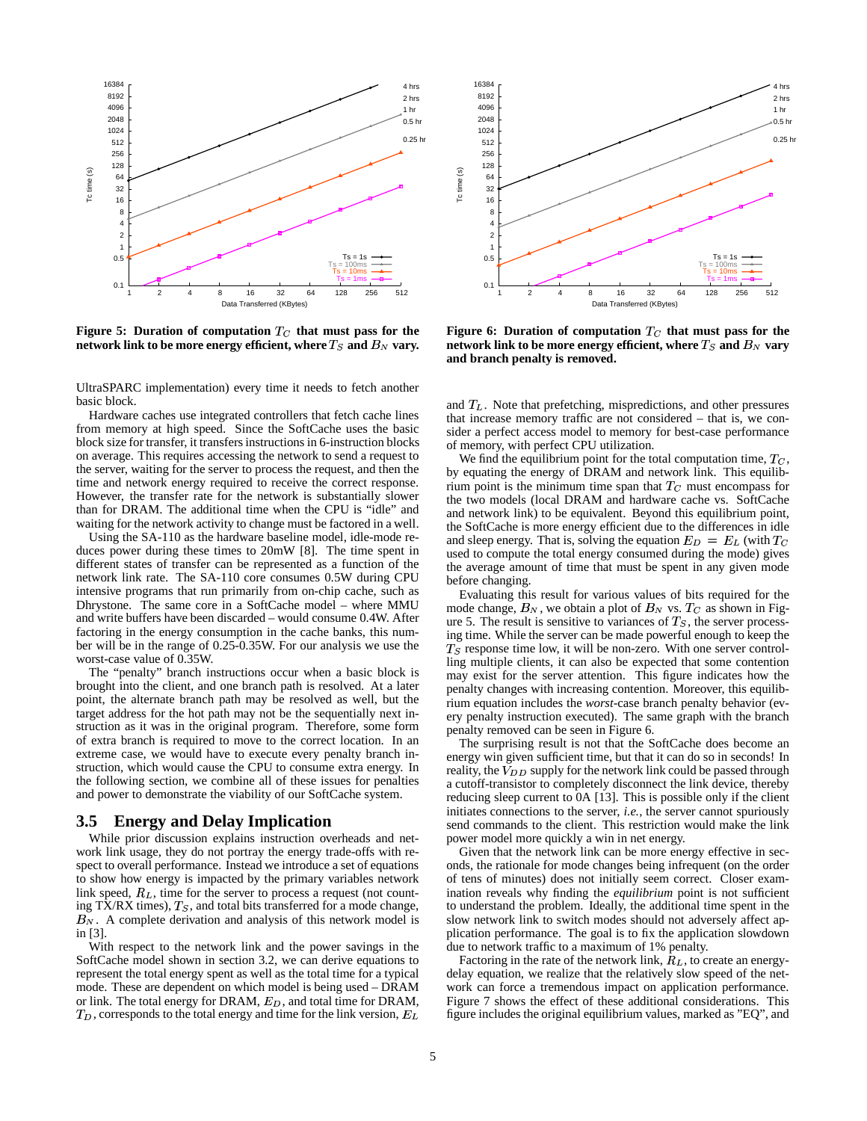

**Figure 5:** Duration of computation  $T_C$  that must pass for the  $\mathbf{r}$  **network** link to be more energy efficient, where  $T_S$  and  $B_N$  vary.  $\qquad$  - ne

UltraSPARC implementation) every time it needs to fetch another basic block.

Hardware caches use integrated controllers that fetch cache lines from memory at high speed. Since the SoftCache uses the basic block size for transfer, it transfersinstructions in 6-instruction blocks on average. This requires accessing the network to send a request to the server, waiting for the server to process the request, and then the time and network energy required to receive the correct response. However, the transfer rate for the network is substantially slower than for DRAM. The additional time when the CPU is "idle" and waiting for the network activity to change must be factored in a well.

Using the SA-110 as the hardware baseline model, idle-mode reduces power during these times to 20mW [8]. The time spent in different states of transfer can be represented as a function of the network link rate. The SA-110 core consumes 0.5W during CPU intensive programs that run primarily from on-chip cache, such as Dhrystone. The same core in a SoftCache model – where MMU and write buffers have been discarded – would consume 0.4W. After factoring in the energy consumption in the cache banks, this number will be in the range of 0.25-0.35W. For our analysis we use the worst-case value of 0.35W.

The "penalty" branch instructions occur when a basic block is brought into the client, and one branch path is resolved. At a later point, the alternate branch path may be resolved as well, but the target address for the hot path may not be the sequentially next instruction as it was in the original program. Therefore, some form of extra branch is required to move to the correct location. In an extreme case, we would have to execute every penalty branch instruction, which would cause the CPU to consume extra energy. In the following section, we combine all of these issues for penalties and power to demonstrate the viability of our SoftCache system.

## **3.5 Energy and Delay Implication**

While prior discussion explains instruction overheads and network link usage, they do not portray the energy trade-offs with respect to overall performance. Instead we introduce a set of equations to show how energy is impacted by the primary variables network link speed,  $R_L$ , time for the server to process a request (not counting TX/RX times),  $T<sub>S</sub>$ , and total bits transferred for a mode change,  $B_N$ . A complete derivation and analysis of this network model is in [3].

With respect to the network link and the power savings in the SoftCache model shown in section 3.2, we can derive equations to represent the total energy spent as well as the total time for a typical mode. These are dependent on which model is being used – DRAM or link. The total energy for DRAM,  $E_D$ , and total time for DRAM,  $T_D$ , corresponds to the total energy and time for the link version,  $E_L$  figure



**Figure 6: Duration of computation that must pass for the**  ${\bf n}$  etwork link to be more energy efficient, where  $T_S$  and  $B_N$  vary **and branch penalty is removed.**

and  $T<sub>L</sub>$ . Note that prefetching, mispredictions, and other pressures that increase memory traffic are not considered – that is, we consider a perfect access model to memory for best-case performance of memory, with perfect CPU utilization.

We find the equilibrium point for the total computation time,  $T_C$ , by equating the energy of DRAM and network link. This equilibrium point is the minimum time span that  $T_C$  must encompass for the two models (local DRAM and hardware cache vs. SoftCache and network link) to be equivalent. Beyond this equilibrium point, the SoftCache is more energy efficient due to the differences in idle and sleep energy. That is, solving the equation  $E_D = E_L$  (with  $T_C$ used to compute the total energy consumed during the mode) gives the average amount of time that must be spent in any given mode before changing.

Evaluating this result for various values of bits required for the mode change,  $B_N$ , we obtain a plot of  $B_N$  vs.  $T_C$  as shown in Figure 5. The result is sensitive to variances of  $T<sub>S</sub>$ , the server processing time. While the server can be made powerful enough to keep the  $T<sub>S</sub>$  response time low, it will be non-zero. With one server controlling multiple clients, it can also be expected that some contention may exist for the server attention. This figure indicates how the penalty changes with increasing contention. Moreover, this equilibrium equation includes the *worst*-case branch penalty behavior (every penalty instruction executed). The same graph with the branch penalty removed can be seen in Figure 6.

The surprising result is not that the SoftCache does become an energy win given sufficient time, but that it can do so in seconds! In reality, the  $V_{DD}$  supply for the network link could be passed through a cutoff-transistor to completely disconnect the link device, thereby reducing sleep current to 0A [13]. This is possible only if the client initiates connections to the server, *i.e.,* the server cannot spuriously send commands to the client. This restriction would make the link power model more quickly a win in net energy.

Given that the network link can be more energy effective in seconds, the rationale for mode changes being infrequent (on the order of tens of minutes) does not initially seem correct. Closer examination reveals why finding the *equilibrium* point is not sufficient to understand the problem. Ideally, the additional time spent in the slow network link to switch modes should not adversely affect application performance. The goal is to fix the application slowdown due to network traffic to a maximum of 1% penalty.

Factoring in the rate of the network link,  $R_L$ , to create an energydelay equation, we realize that the relatively slow speed of the network can force a tremendous impact on application performance. Figure 7 shows the effect of these additional considerations. This figure includes the original equilibrium values, marked as "EQ", and